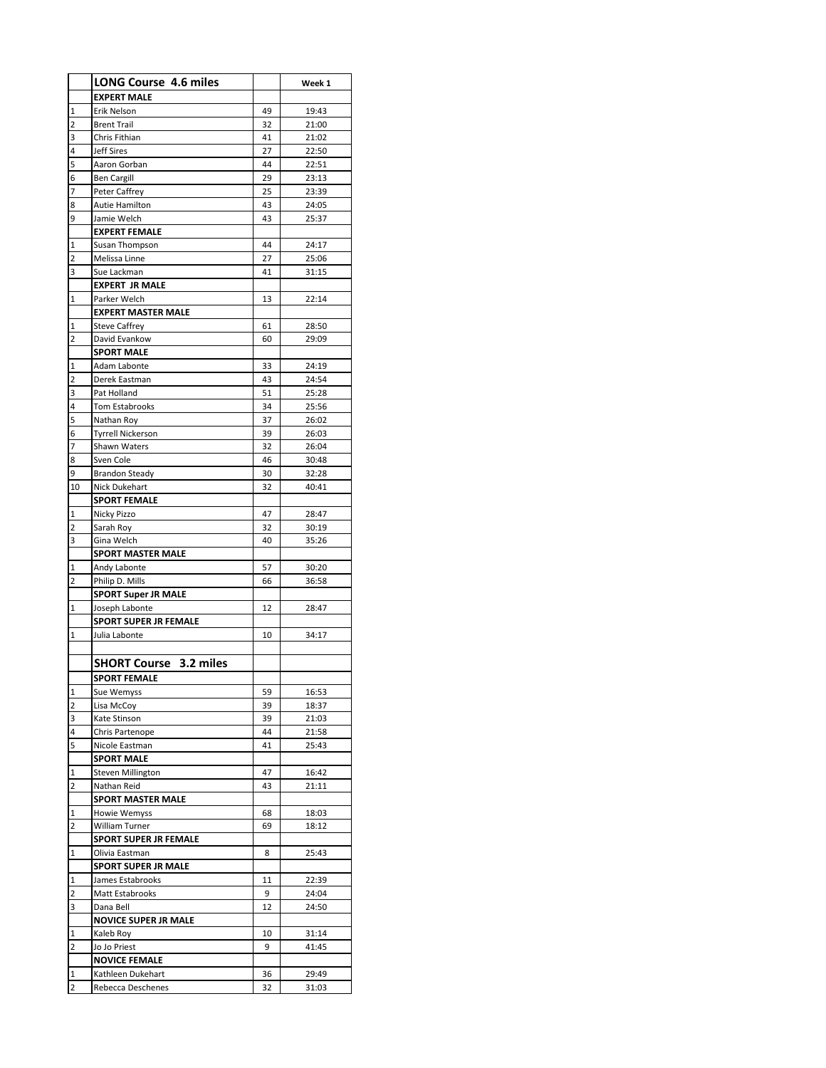|                              | <b>LONG Course 4.6 miles</b>                   |          | Week 1         |
|------------------------------|------------------------------------------------|----------|----------------|
|                              | <b>EXPERT MALE</b>                             |          |                |
|                              |                                                |          |                |
| 1                            | Erik Nelson                                    | 49       | 19:43          |
| 2                            | <b>Brent Trail</b>                             | 32       | 21:00          |
| 3                            | Chris Fithian<br><b>Jeff Sires</b>             | 41<br>27 | 21:02          |
| 4                            |                                                |          | 22:50          |
| 5                            | Aaron Gorban                                   | 44       | 22:51          |
| 6<br>7                       | <b>Ben Cargill</b>                             | 29       | 23:13          |
|                              | Peter Caffrey                                  | 25       | 23:39          |
| 8<br>9                       | Autie Hamilton<br>Jamie Welch                  | 43<br>43 | 24:05<br>25:37 |
|                              | <b>EXPERT FEMALE</b>                           |          |                |
| 1                            | Susan Thompson                                 | 44       | 24:17          |
| 2                            | Melissa Linne                                  | 27       | 25:06          |
| 3                            | Sue Lackman                                    | 41       | 31:15          |
|                              | <b>EXPERT JR MALE</b>                          |          |                |
| 1                            | Parker Welch                                   | 13       | 22:14          |
|                              | <b>EXPERT MASTER MALE</b>                      |          |                |
| 1                            | <b>Steve Caffrey</b>                           | 61       | 28:50          |
| 2                            | David Evankow                                  | 60       | 29:09          |
|                              | <b>SPORT MALE</b>                              |          |                |
| 1                            | Adam Labonte                                   | 33       | 24:19          |
| 2                            | Derek Eastman                                  | 43       | 24:54          |
| 3                            | Pat Holland                                    | 51       | 25:28          |
| 4                            | <b>Tom Estabrooks</b>                          | 34       | 25:56          |
| 5                            | Nathan Roy                                     | 37       | 26:02          |
| 6                            | <b>Tyrrell Nickerson</b>                       | 39       | 26:03          |
| 7                            | Shawn Waters                                   | 32       | 26:04          |
| 8                            | Sven Cole                                      | 46       | 30:48          |
| 9                            | <b>Brandon Steady</b>                          | 30       | 32:28          |
| 10                           | Nick Dukehart                                  | 32       | 40:41          |
|                              | <b>SPORT FEMALE</b>                            |          |                |
| 1                            | Nicky Pizzo                                    | 47       | 28:47          |
| 2                            | Sarah Roy                                      | 32       | 30:19          |
| 3                            | Gina Welch                                     | 40       | 35:26          |
|                              | <b>SPORT MASTER MALE</b>                       |          |                |
| 1                            | Andy Labonte                                   | 57       | 30:20          |
| 2                            | Philip D. Mills                                | 66       | 36:58          |
|                              | <b>SPORT Super JR MALE</b>                     |          |                |
| 1                            | Joseph Labonte<br><b>SPORT SUPER JR FEMALE</b> | 12       | 28:47          |
| 1                            | Julia Labonte                                  | 10       | 34:17          |
|                              |                                                |          |                |
|                              | <b>SHORT Course</b><br>3.2 miles               |          |                |
|                              |                                                |          |                |
|                              | SPORT FEMALE                                   |          |                |
| 1<br>$\overline{\mathbf{c}}$ | Sue Wemyss                                     | 59       | 16:53          |
| 3                            | Lisa McCoy<br>Kate Stinson                     | 39<br>39 | 18:37<br>21:03 |
| 4                            | Chris Partenope                                | 44       | 21:58          |
| 5                            | Nicole Eastman                                 | 41       | 25:43          |
|                              | <b>SPORT MALE</b>                              |          |                |
| 1                            | <b>Steven Millington</b>                       | 47       | 16:42          |
| 2                            | Nathan Reid                                    | 43       | 21:11          |
|                              | <b>SPORT MASTER MALE</b>                       |          |                |
| 1                            | Howie Wemyss                                   | 68       | 18:03          |
| 2                            | William Turner                                 | 69       | 18:12          |
|                              | <b>SPORT SUPER JR FEMALE</b>                   |          |                |
| 1                            | Olivia Eastman                                 | 8        | 25:43          |
|                              | <b>SPORT SUPER JR MALE</b>                     |          |                |
| 1                            | James Estabrooks                               | 11       | 22:39          |
| 2                            | Matt Estabrooks                                | 9        | 24:04          |
| 3                            | Dana Bell                                      | 12       | 24:50          |
|                              | <b>NOVICE SUPER JR MALE</b>                    |          |                |
| 1                            | Kaleb Roy                                      | 10       | 31:14          |
| 2                            | Jo Jo Priest                                   | 9        | 41:45          |
|                              | <b>NOVICE FEMALE</b>                           |          |                |
| 1                            | Kathleen Dukehart                              | 36       | 29:49          |
| 2                            | Rebecca Deschenes                              | 32       | 31:03          |